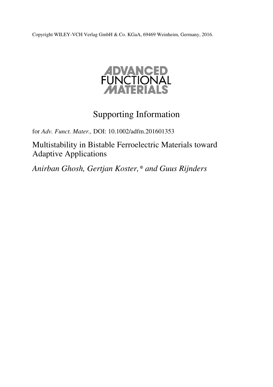Copyright WILEY-VCH Verlag GmbH & Co. KGaA, 69469 Weinheim, Germany, 2016.



# Supporting Information

for *Adv. Funct. Mater.,* DOI: 10.1002/adfm.201601353

Multistability in Bistable Ferroelectric Materials toward Adaptive Applications

*Anirban Ghosh, Gertjan Koster,\* and Guus Rijnders*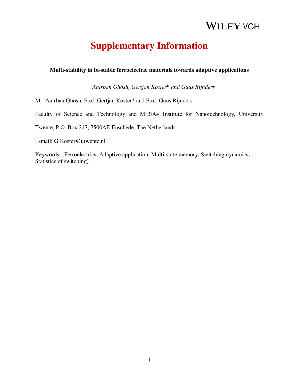# **Supplementary Information**

#### **Multi-stability in bi-stable ferroelectric materials towards adaptive applications**

*Anirban Ghosh, Gertjan Koster\* and Guus Rijnders*

Mr. Anirban Ghosh, Prof. Gertjan Koster\* and Prof. Guus Rijnders

Faculty of Science and Technology and MESA+ Institute for Nanotechnology, University

Twente, P.O. Box 217, 7500AE Enschede, The Netherlands

E-mail: G.Koster@utwente.nl

Keywords: (Ferroelectrics, Adaptive application, Multi-state memory, Switching dynamics, Statistics of switching)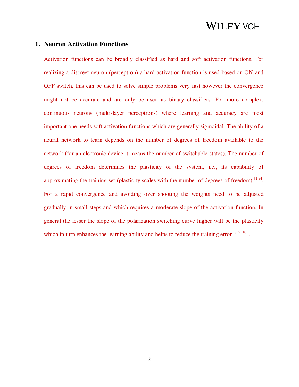#### **1. Neuron Activation Functions**

Activation functions can be broadly classified as hard and soft activation functions. For realizing a discreet neuron (perceptron) a hard activation function is used based on ON and OFF switch, this can be used to solve simple problems very fast however the convergence might not be accurate and are only be used as binary classifiers. For more complex, continuous neurons (multi-layer perceptrons) where learning and accuracy are most important one needs soft activation functions which are generally sigmoidal. The ability of a neural network to learn depends on the number of degrees of freedom available to the network (for an electronic device it means the number of switchable states). The number of degrees of freedom determines the plasticity of the system, i.e., its capability of approximating the training set (plasticity scales with the number of degrees of freedom)  $[1-9]$ . For a rapid convergence and avoiding over shooting the weights need to be adjusted gradually in small steps and which requires a moderate slope of the activation function. In general the lesser the slope of the polarization switching curve higher will be the plasticity which in turn enhances the learning ability and helps to reduce the training error  $[7, 9, 10]$ .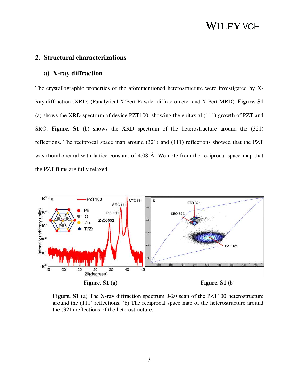#### **2. Structural characterizations**

#### **a) X-ray diffraction**

The crystallographic properties of the aforementioned heterostructure were investigated by X-Ray diffraction (XRD) (Panalytical X'Pert Powder diffractometer and X'Pert MRD). **Figure. S1**  (a) shows the XRD spectrum of device PZT100, showing the epitaxial (111) growth of PZT and SRO. **Figure. S1** (b) shows the XRD spectrum of the heterostructure around the (321) reflections. The reciprocal space map around (321) and (111) reflections showed that the PZT was rhombohedral with lattice constant of 4.08 Å. We note from the reciprocal space map that the PZT films are fully relaxed.



**Figure. S1** (a) The X-ray diffraction spectrum θ-2θ scan of the PZT100 heterostructure around the (111) reflections. (b) The reciprocal space map of the heterostructure around the (321) reflections of the heterostructure.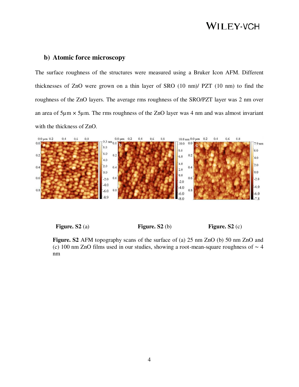### **b) Atomic force microscopy**

The surface roughness of the structures were measured using a Bruker Icon AFM. Different thicknesses of ZnO were grown on a thin layer of SRO (10 nm)/ PZT (10 nm) to find the roughness of the ZnO layers. The average rms roughness of the SRO/PZT layer was 2 nm over an area of  $5\mu$ m  $\times$   $5\mu$ m. The rms roughness of the ZnO layer was 4 nm and was almost invariant with the thickness of ZnO.



**Figure.** S2 (a) **Figure.** S2 (b) **Figure.** S2 (c)

**Figure. S2** AFM topography scans of the surface of (a) 25 nm ZnO (b) 50 nm ZnO and (c) 100 nm ZnO films used in our studies, showing a root-mean-square roughness of ∼ 4 nm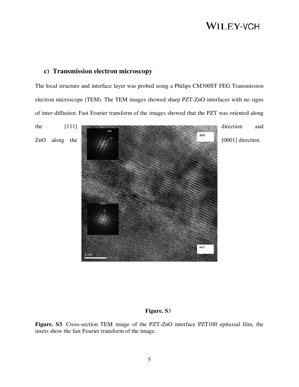#### **c) Transmission electron microscopy**

The local structure and interface layer was probed using a Philips CM300ST FEG Transmission electron microscope (TEM). The TEM images showed sharp PZT-ZnO interfaces with no signs of inter-diffusion. Fast Fourier transform of the images showed that the PZT was oriented along



#### **Figure. S**3

**Figure. S3**. Cross-section TEM image of the PZT-ZnO interface PZT100 epitaxial film, the insets show the fast Fourier transform of the image.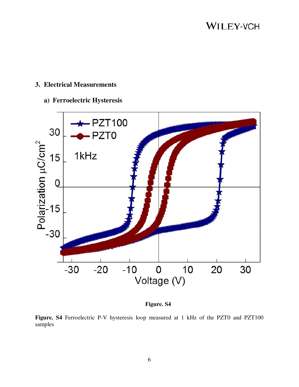### **3. Electrical Measurements**

### **a) Ferroelectric Hysteresis**



#### **Figure. S4**

Figure. S4 Ferroelectric P-V hysteresis loop measured at 1 kHz of the PZT0 and PZT100 samples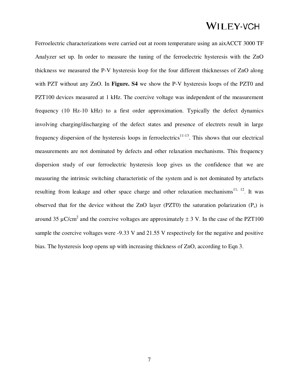Ferroelectric characterizations were carried out at room temperature using an aixACCT 3000 TF Analyzer set up. In order to measure the tuning of the ferroelectric hysteresis with the ZnO thickness we measured the P-V hysteresis loop for the four different thicknesses of ZnO along with PZT without any ZnO. In **Figure. S4** we show the P-V hysteresis loops of the PZT0 and PZT100 devices measured at 1 kHz. The coercive voltage was independent of the measurement frequency (10 Hz-10 kHz) to a first order approximation. Typically the defect dynamics involving charging/discharging of the defect states and presence of electrets result in large frequency dispersion of the hysteresis loops in ferroelectrics<sup>11-13</sup>. This shows that our electrical measurements are not dominated by defects and other relaxation mechanisms. This frequency dispersion study of our ferroelectric hysteresis loop gives us the confidence that we are measuring the intrinsic switching characteristic of the system and is not dominated by artefacts resulting from leakage and other space charge and other relaxation mechanisms<sup>11, 12</sup>. It was observed that for the device without the ZnO layer (PZT0) the saturation polarization  $(P_s)$  is around 35  $\mu$ C/cm<sup>2</sup> and the coercive voltages are approximately  $\pm$  3 V. In the case of the PZT100 sample the coercive voltages were -9.33 V and 21.55 V respectively for the negative and positive bias. The hysteresis loop opens up with increasing thickness of ZnO, according to Eqn 3.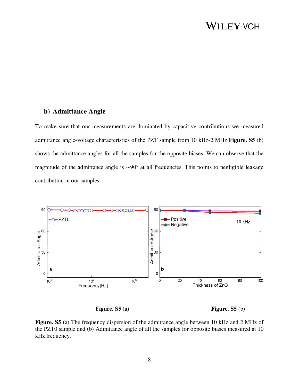#### **b) Admittance Angle**

To make sure that our measurements are dominated by capacitive contributions we measured admittance angle-voltage characteristics of the PZT sample from 10 kHz-2 MHz **Figure. S5** (b) shows the admittance angles for all the samples for the opposite biases. We can observe that the magnitude of the admittance angle is ∼90° at all frequencies. This points to negligible leakage contribution in our samples.



**Figure.** S5 (a) **Figure.** S5 (b)

**Figure. S5** (a) The frequency dispersion of the admittance angle between 10 kHz and 2 MHz of the PZT0 sample and (b) Admittance angle of all the samples for opposite biases measured at 10 kHz frequency.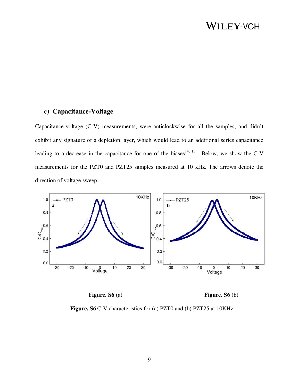#### **c) Capacitance-Voltage**

Capacitance-voltage (C-V) measurements, were anticlockwise for all the samples, and didn't exhibit any signature of a depletion layer, which would lead to an additional series capacitance leading to a decrease in the capacitance for one of the biases<sup>14, 15</sup>. Below, we show the C-V measurements for the PZT0 and PZT25 samples measured at 10 kHz. The arrows denote the direction of voltage sweep.





Figure. S6 C-V characteristics for (a) PZT0 and (b) PZT25 at 10KHz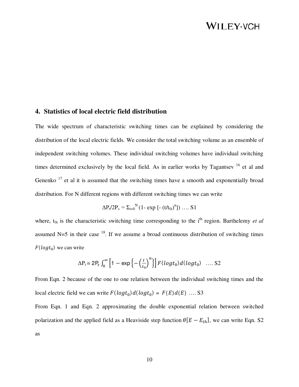#### **4. Statistics of local electric field distribution**

The wide spectrum of characteristic switching times can be explained by considering the distribution of the local electric fields. We consider the total switching volume as an ensemble of independent switching volumes. These individual switching volumes have individual switching times determined exclusively by the local field. As in earlier works by Tagantsev<sup>16</sup> et al and Genenko  $17$  et al it is assumed that the switching times have a smooth and exponentially broad distribution. For N different regions with different switching times we can write

$$
\Delta P_t / 2P_s = \Sigma_{i=0}^{N} (1 - \exp [-(t/t_{0i})^n]) \dots S1
$$

where, t<sub>0i</sub> is the characteristic switching time corresponding to the i<sup>th</sup> region. Barthelemy *et al* assumed N=5 in their case  $18$ . If we assume a broad continuous distribution of switching times  $F(log t_0)$  we can write

$$
\Delta P_t = 2P_s \int_0^\infty \left[1 - \exp\left\{-\left(\frac{t}{t_0}\right)^n\right\}\right] F(\log t_0) d(\log t_0) \quad \dots \text{S2}
$$

From Eqn. 2 because of the one to one relation between the individual switching times and the local electric field we can write  $F(log t_0) d(log t_0) = F(E)d(E) \dots S3$ 

From Eqn. 1 and Eqn. 2 approximating the double exponential relation between switched polarization and the applied field as a Heaviside step function  $\theta[E - E_{th}]$ , we can write Eqn. S2 as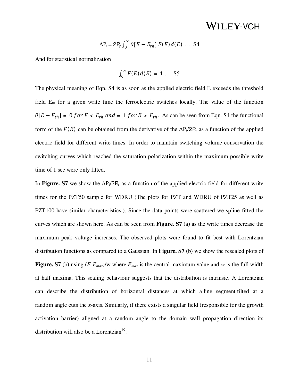$$
\Delta P_t = 2P_s \int_0^\infty \theta[E - E_{th}] F(E) d(E) \dots S4
$$

And for statistical normalization

$$
\int_0^\infty F(E) d(E) = 1 \dots S5
$$

The physical meaning of Eqn. S4 is as soon as the applied electric field E exceeds the threshold field  $E_{th}$  for a given write time the ferroelectric switches locally. The value of the function  $\theta[E - E_{th}] = 0$  for  $E < E_{th}$  and = 1 for  $E > E_{th}$ . As can be seen from Eqn. S4 the functional form of the  $F(E)$  can be obtained from the derivative of the  $\Delta P_t/2P_s$  as a function of the applied electric field for different write times. In order to maintain switching volume conservation the switching curves which reached the saturation polarization within the maximum possible write time of 1 sec were only fitted.

In **Figure. S7** we show the  $\Delta P_t/2P_s$  as a function of the applied electric field for different write times for the PZT50 sample for WDRU (The plots for PZT and WDRU of PZT25 as well as PZT100 have similar characteristics.). Since the data points were scattered we spline fitted the curves which are shown here. As can be seen from **Figure. S7** (a) as the write times decrease the maximum peak voltage increases. The observed plots were found to fit best with Lorentzian distribution functions as compared to a Gaussian. In **Figure. S7** (b) we show the rescaled plots of **Figure. S7** (b) using  $(E-E_{max})/w$  where  $E_{max}$  is the central maximum value and *w* is the full width at half maxima. This scaling behaviour suggests that the distribution is intrinsic. A Lorentzian can describe the distribution of horizontal distances at which a line segment tilted at a random angle cuts the *x*-axis. Similarly, if there exists a singular field (responsible for the growth activation barrier) aligned at a random angle to the domain wall propagation direction its distribution will also be a Lorentzian $19$ .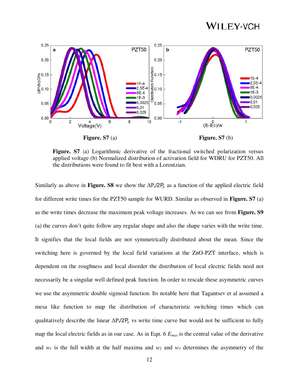

Figure. S7 (a) Logarithmic derivative of the fractional switched polarization versus applied voltage (b) Normalized distribution of activation field for WDRU for PZT50. All the distributions were found to fit best with a Lorentzian.

Similarly as above in **Figure. S8** we show the  $\Delta P_t/2P_s$  as a function of the applied electric field for different write times for the PZT50 sample for WURD. Similar as observed in **Figure. S7** (a) as the write times decrease the maximum peak voltage increases. As we can see from **Figure. S9** (a) the curves don't quite follow any regular shape and also the shape varies with the write time. It signifies that the local fields are not symmetrically distributed about the mean. Since the switching here is governed by the local field variations at the ZnO-PZT interface, which is dependent on the roughness and local disorder the distribution of local electric fields need not necessarily be a singular well defined peak function. In order to rescale these asymmetric curves we use the asymmetric double sigmoid function. Its notable here that Tagantsev et al assumed a mesa like function to map the distribution of characteristic switching times which can qualitatively describe the linear  $\Delta P_t/2P_s$  vs write time curve but would not be sufficient to fully map the local electric fields as in our case. As in Eqn. 6 *Emax* is the central value of the derivative and  $w_1$  is the full width at the half maxima and  $w_2$  and  $w_3$  determines the asymmetry of the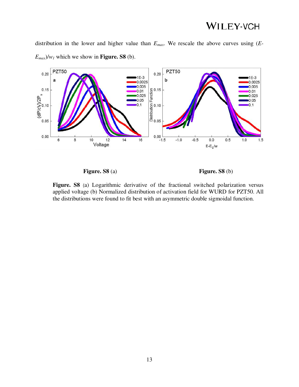distribution in the lower and higher value than *Emax*. We rescale the above curves using (*E-* $E_{max}$ / $w_l$  which we show in **Figure. S8** (b).





**Figure. S8** (a) Logarithmic derivative of the fractional switched polarization versus applied voltage (b) Normalized distribution of activation field for WURD for PZT50. All the distributions were found to fit best with an asymmetric double sigmoidal function.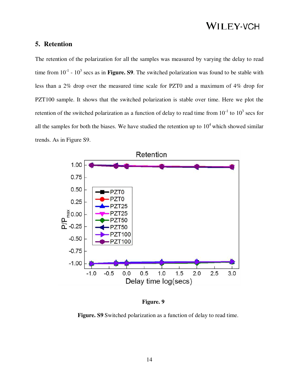### **5. Retention**

The retention of the polarization for all the samples was measured by varying the delay to read time from  $10^{-1}$  -  $10^3$  secs as in **Figure. S9**. The switched polarization was found to be stable with less than a 2% drop over the measured time scale for PZT0 and a maximum of 4% drop for PZT100 sample. It shows that the switched polarization is stable over time. Here we plot the retention of the switched polarization as a function of delay to read time from  $10^{-1}$  to  $10^3$  secs for all the samples for both the biases. We have studied the retention up to  $10<sup>4</sup>$  which showed similar trends. As in Figure S9.



**Figure. 9** 

**Figure. S9** Switched polarization as a function of delay to read time.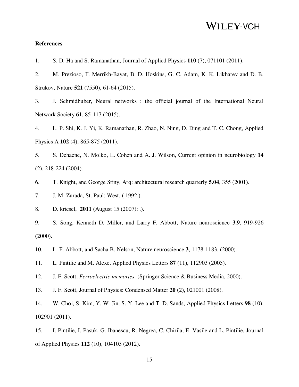#### **References**

1. S. D. Ha and S. Ramanathan, Journal of Applied Physics **110** (7), 071101 (2011).

2. M. Prezioso, F. Merrikh-Bayat, B. D. Hoskins, G. C. Adam, K. K. Likharev and D. B. Strukov, Nature **521** (7550), 61-64 (2015).

3. J. Schmidhuber, Neural networks : the official journal of the International Neural Network Society **61**, 85-117 (2015).

4. L. P. Shi, K. J. Yi, K. Ramanathan, R. Zhao, N. Ning, D. Ding and T. C. Chong, Applied Physics A **102** (4), 865-875 (2011).

5. S. Dehaene, N. Molko, L. Cohen and A. J. Wilson, Current opinion in neurobiology **14** (2), 218-224 (2004).

6. T. Knight, and George Stiny, Arq: architectural research quarterly **5.04**, 355 (2001).

7. J. M. Zurada, St. Paul: West, ( 1992.).

8. D. kriesel, **2011** (August 15 (2007): .).

9. S. Song, Kenneth D. Miller, and Larry F. Abbott, Nature neuroscience **3.9**, 919-926 (2000).

10. L. F. Abbott, and Sacha B. Nelson, Nature neuroscience **3**, 1178-1183. (2000).

11. L. Pintilie and M. Alexe, Applied Physics Letters **87** (11), 112903 (2005).

12. J. F. Scott, *Ferroelectric memories*. (Springer Science & Business Media, 2000).

13. J. F. Scott, Journal of Physics: Condensed Matter **20** (2), 021001 (2008).

14. W. Choi, S. Kim, Y. W. Jin, S. Y. Lee and T. D. Sands, Applied Physics Letters **98** (10), 102901 (2011).

15. I. Pintilie, I. Pasuk, G. Ibanescu, R. Negrea, C. Chirila, E. Vasile and L. Pintilie, Journal of Applied Physics **112** (10), 104103 (2012).